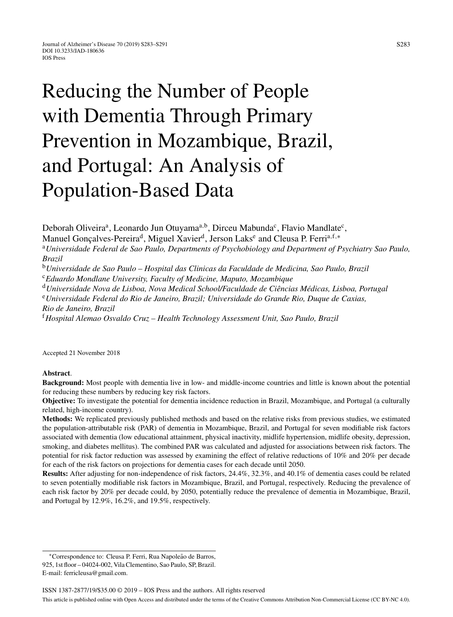# Reducing the Number of People with Dementia Through Primary Prevention in Mozambique, Brazil, and Portugal: An Analysis of Population-Based Data

Deborah Oliveira<sup>a</sup>, Leonardo Jun Otuyama<sup>a, b</sup>, Dirceu Mabunda<sup>c</sup>, Flavio Mandlate<sup>c</sup>,

Manuel Gonçalves-Pereira<sup>d</sup>, Miguel Xavier<sup>d</sup>, Jerson Laks<sup>e</sup> and Cleusa P. Ferri<sup>a, f,</sup>\*

<sup>a</sup>*Universidade Federal de Sao Paulo, Departments of Psychobiology and Department of Psychiatry Sao Paulo, Brazil*

<sup>b</sup>*Universidade de Sao Paulo – Hospital das Clinicas da Faculdade de Medicina, Sao Paulo, Brazil*

<sup>c</sup>*Eduardo Mondlane University, Faculty of Medicine, Maputo, Mozambique*

<sup>d</sup>Universidade Nova de Lisboa, Nova Medical School/Faculdade de Ciências Médicas, Lisboa, Portugal

<sup>e</sup>*Universidade Federal do Rio de Janeiro, Brazil; Universidade do Grande Rio, Duque de Caxias,*

*Rio de Janeiro, Brazil*

<sup>f</sup>*Hospital Alemao Osvaldo Cruz – Health Technology Assessment Unit, Sao Paulo, Brazil*

Accepted 21 November 2018

#### **Abstract**.

**Background:** Most people with dementia live in low- and middle-income countries and little is known about the potential for reducing these numbers by reducing key risk factors.

**Objective:** To investigate the potential for dementia incidence reduction in Brazil, Mozambique, and Portugal (a culturally related, high-income country).

**Methods:** We replicated previously published methods and based on the relative risks from previous studies, we estimated the population-attributable risk (PAR) of dementia in Mozambique, Brazil, and Portugal for seven modifiable risk factors associated with dementia (low educational attainment, physical inactivity, midlife hypertension, midlife obesity, depression, smoking, and diabetes mellitus). The combined PAR was calculated and adjusted for associations between risk factors. The potential for risk factor reduction was assessed by examining the effect of relative reductions of 10% and 20% per decade for each of the risk factors on projections for dementia cases for each decade until 2050.

**Results:** After adjusting for non-independence of risk factors, 24.4%, 32.3%, and 40.1% of dementia cases could be related to seven potentially modifiable risk factors in Mozambique, Brazil, and Portugal, respectively. Reducing the prevalence of each risk factor by 20% per decade could, by 2050, potentially reduce the prevalence of dementia in Mozambique, Brazil, and Portugal by 12.9%, 16.2%, and 19.5%, respectively.

<sup>∗</sup>Correspondence to: Cleusa P. Ferri, Rua Napoleao de Barros, ˜ 925, 1st floor – 04024-002, Vila Clementino, Sao Paulo, SP, Brazil. E-mail: [ferricleusa@gmail.com.](mailto:ferricleusa@gmail.com)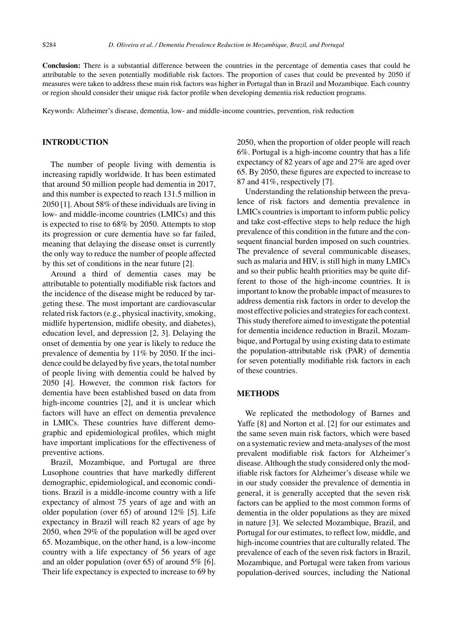**Conclusion:** There is a substantial difference between the countries in the percentage of dementia cases that could be attributable to the seven potentially modifiable risk factors. The proportion of cases that could be prevented by 2050 if measures were taken to address these main risk factors was higher in Portugal than in Brazil and Mozambique. Each country or region should consider their unique risk factor profile when developing dementia risk reduction programs.

Keywords: Alzheimer's disease, dementia, low- and middle-income countries, prevention, risk reduction

## **INTRODUCTION**

The number of people living with dementia is increasing rapidly worldwide. It has been estimated that around 50 million people had dementia in 2017, and this number is expected to reach 131.5 million in 2050 [1]. About 58% of these individuals are living in low- and middle-income countries (LMICs) and this is expected to rise to 68% by 2050. Attempts to stop its progression or cure dementia have so far failed, meaning that delaying the disease onset is currently the only way to reduce the number of people affected by this set of conditions in the near future [2].

Around a third of dementia cases may be attributable to potentially modifiable risk factors and the incidence of the disease might be reduced by targeting these. The most important are cardiovascular related risk factors (e.g., physical inactivity, smoking, midlife hypertension, midlife obesity, and diabetes), education level, and depression [2, 3]. Delaying the onset of dementia by one year is likely to reduce the prevalence of dementia by 11% by 2050. If the incidence could be delayed by five years, the total number of people living with dementia could be halved by 2050 [4]. However, the common risk factors for dementia have been established based on data from high-income countries [2], and it is unclear which factors will have an effect on dementia prevalence in LMICs. These countries have different demographic and epidemiological profiles, which might have important implications for the effectiveness of preventive actions.

Brazil, Mozambique, and Portugal are three Lusophone countries that have markedly different demographic, epidemiological, and economic conditions. Brazil is a middle-income country with a life expectancy of almost 75 years of age and with an older population (over 65) of around 12% [5]. Life expectancy in Brazil will reach 82 years of age by 2050, when 29% of the population will be aged over 65. Mozambique, on the other hand, is a low-income country with a life expectancy of 56 years of age and an older population (over 65) of around 5% [6]. Their life expectancy is expected to increase to 69 by

2050, when the proportion of older people will reach 6%. Portugal is a high-income country that has a life expectancy of 82 years of age and 27% are aged over 65. By 2050, these figures are expected to increase to 87 and 41%, respectively [7].

Understanding the relationship between the prevalence of risk factors and dementia prevalence in LMICs countries is important to inform public policy and take cost-effective steps to help reduce the high prevalence of this condition in the future and the consequent financial burden imposed on such countries. The prevalence of several communicable diseases, such as malaria and HIV, is still high in many LMICs and so their public health priorities may be quite different to those of the high-income countries. It is important to know the probable impact of measures to address dementia risk factors in order to develop the most effective policies and strategies for each context. This study therefore aimed to investigate the potential for dementia incidence reduction in Brazil, Mozambique, and Portugal by using existing data to estimate the population-attributable risk (PAR) of dementia for seven potentially modifiable risk factors in each of these countries.

# **METHODS**

We replicated the methodology of Barnes and Yaffe [8] and Norton et al. [2] for our estimates and the same seven main risk factors, which were based on a systematic review and meta-analyses of the most prevalent modifiable risk factors for Alzheimer's disease. Although the study considered only the modifiable risk factors for Alzheimer's disease while we in our study consider the prevalence of dementia in general, it is generally accepted that the seven risk factors can be applied to the most common forms of dementia in the older populations as they are mixed in nature [3]. We selected Mozambique, Brazil, and Portugal for our estimates, to reflect low, middle, and high-income countries that are culturally related. The prevalence of each of the seven risk factors in Brazil, Mozambique, and Portugal were taken from various population-derived sources, including the National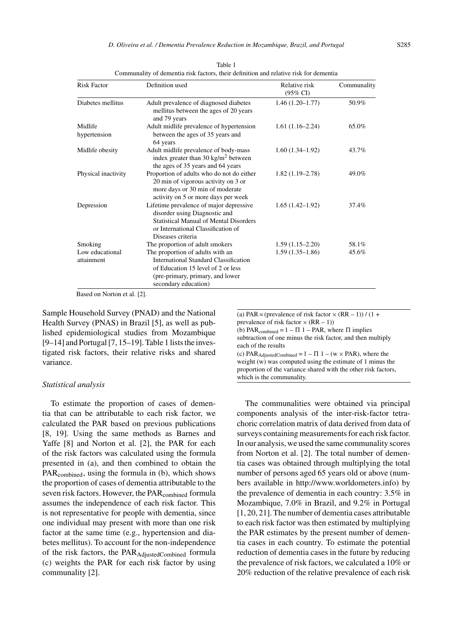| <b>Risk Factor</b>  | Definition used                                                                                                                                                                      | Relative risk<br>$(95\% \text{ CI})$ | Communality |
|---------------------|--------------------------------------------------------------------------------------------------------------------------------------------------------------------------------------|--------------------------------------|-------------|
| Diabetes mellitus   | Adult prevalence of diagnosed diabetes<br>mellitus between the ages of 20 years<br>and 79 years                                                                                      | $1.46(1.20-1.77)$                    | 50.9%       |
| Midlife             | Adult midlife prevalence of hypertension                                                                                                                                             | $1.61(1.16-2.24)$                    | 65.0%       |
| hypertension        | between the ages of 35 years and<br>64 years                                                                                                                                         |                                      |             |
| Midlife obesity     | Adult midlife prevalence of body-mass<br>index greater than 30 $\text{kg/m}^2$ between<br>the ages of 35 years and 64 years                                                          | $1.60(1.34 - 1.92)$                  | 43.7%       |
| Physical inactivity | Proportion of adults who do not do either<br>20 min of vigorous activity on 3 or<br>more days or 30 min of moderate<br>activity on 5 or more days per week                           | $1.82(1.19-2.78)$                    | 49.0%       |
| Depression          | Lifetime prevalence of major depressive<br>disorder using Diagnostic and<br><b>Statistical Manual of Mental Disorders</b><br>or International Classification of<br>Diseases criteria | $1.65(1.42 - 1.92)$                  | 37.4%       |
| Smoking             | The proportion of adult smokers                                                                                                                                                      | $1.59(1.15-2.20)$                    | 58.1%       |
| Low educational     | The proportion of adults with an                                                                                                                                                     | $1.59(1.35-1.86)$                    | 45.6%       |
| attainment          | International Standard Classification<br>of Education 15 level of 2 or less<br>(pre-primary, primary, and lower<br>secondary education)                                              |                                      |             |

Table 1 Communality of dementia risk factors, their definition and relative risk for dementia

Based on Norton et al. [2].

Sample Household Survey (PNAD) and the National Health Survey (PNAS) in Brazil [5], as well as published epidemiological studies from Mozambique  $[9-14]$  and Portugal  $[7, 15-19]$ . Table 1 lists the investigated risk factors, their relative risks and shared variance.

#### *Statistical analysis*

To estimate the proportion of cases of dementia that can be attributable to each risk factor, we calculated the PAR based on previous publications [8, 19]. Using the same methods as Barnes and Yaffe [8] and Norton et al. [2], the PAR for each of the risk factors was calculated using the formula presented in (a), and then combined to obtain the PAR<sub>combined</sub>, using the formula in (b), which shows the proportion of cases of dementia attributable to the seven risk factors. However, the PAR<sub>combined</sub> formula assumes the independence of each risk factor. This is not representative for people with dementia, since one individual may present with more than one risk factor at the same time (e.g., hypertension and diabetes mellitus). To account for the non-independence of the risk factors, the PARAdjustedCombined formula (c) weights the PAR for each risk factor by using communality [2].

(a) PAR = (prevalence of risk factor  $\times$  (RR – 1)) / (1 + prevalence of risk factor  $\times$  (RR – 1)) (b) PAR<sub>combined</sub> =  $1 - \Pi$  1 – PAR, where  $\Pi$  implies subtraction of one minus the risk factor, and then multiply each of the results

(c) PAR<sub>AdjustedCombined</sub> =  $1 - \Pi$  1 – (w × PAR), where the weight (w) was computed using the estimate of 1 minus the proportion of the variance shared with the other risk factors, which is the communality.

The communalities were obtained via principal components analysis of the inter-risk-factor tetrachoric correlation matrix of data derived from data of surveys containing measurements for each risk factor. In our analysis, we used the same communality scores from Norton et al. [2]. The total number of dementia cases was obtained through multiplying the total number of persons aged 65 years old or above (numbers available in<http://www.worldometers.info>) by the prevalence of dementia in each country: 3.5% in Mozambique, 7.0% in Brazil, and 9.2% in Portugal [1, 20, 21]. The number of dementia cases attributable to each risk factor was then estimated by multiplying the PAR estimates by the present number of dementia cases in each country. To estimate the potential reduction of dementia cases in the future by reducing the prevalence of risk factors, we calculated a 10% or 20% reduction of the relative prevalence of each risk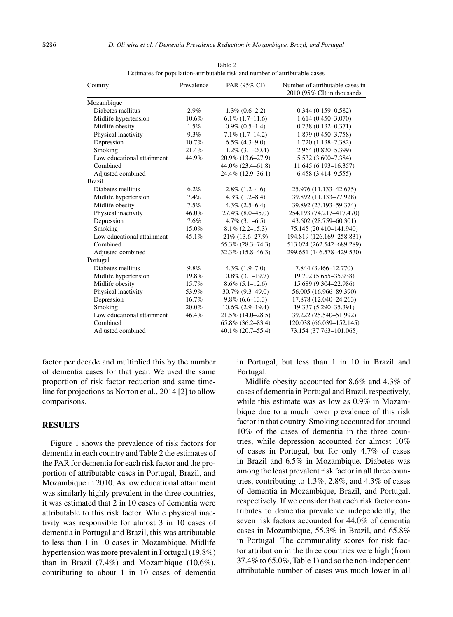| Country                    | Prevalence | PAR (95% CI)         | Number of attributable cases in<br>$2010(95\% \text{ CI})$ in thousands |
|----------------------------|------------|----------------------|-------------------------------------------------------------------------|
| Mozambique                 |            |                      |                                                                         |
| Diabetes mellitus          | 2.9%       | $1.3\%$ (0.6–2.2)    | $0.344(0.159 - 0.582)$                                                  |
| Midlife hypertension       | 10.6%      | $6.1\%$ (1.7–11.6)   | $1.614(0.450 - 3.070)$                                                  |
| Midlife obesity            | 1.5%       | $0.9\%$ $(0.5-1.4)$  | $0.238(0.132 - 0.371)$                                                  |
| Physical inactivity        | 9.3%       | $7.1\%$ $(1.7-14.2)$ | 1.879 (0.450-3.758)                                                     |
| Depression                 | 10.7%      | $6.5\%$ $(4.3-9.0)$  | 1.720 (1.138-2.382)                                                     |
| Smoking                    | 21.4%      | $11.2\%$ (3.1-20.4)  | 2.964 (0.820-5.399)                                                     |
| Low educational attainment | 44.9%      | 20.9% (13.6–27.9)    | 5.532 (3.600-7.384)                                                     |
| Combined                   |            | 44.0% (23.4–61.8)    | 11.645 (6.193-16.357)                                                   |
| Adjusted combined          |            | 24.4% (12.9–36.1)    | $6.458(3.414 - 9.555)$                                                  |
| <b>Brazil</b>              |            |                      |                                                                         |
| Diabetes mellitus          | $6.2\%$    | $2.8\%$ (1.2–4.6)    | 25.976 (11.133-42.675)                                                  |
| Midlife hypertension       | 7.4%       | $4.3\%$ (1.2-8.4)    | 39.892 (11.133-77.928)                                                  |
| Midlife obesity            | 7.5%       | $4.3\%$ $(2.5-6.4)$  | 39.892 (23.193-59.374)                                                  |
| Physical inactivity        | 46.0%      | 27.4% (8.0-45.0)     | 254.193 (74.217-417.470)                                                |
| Depression                 | 7.6%       | $4.7\%$ $(3.1-6.5)$  | 43.602 (28.759-60.301)                                                  |
| Smoking                    | 15.0%      | $8.1\%$ (2.2–15.3)   | 75.145 (20.410-141.940)                                                 |
| Low educational attainment | 45.1%      | $21\% (13.6 - 27.9)$ | 194.819 (126.169-258.831)                                               |
| Combined                   |            | 55.3% (28.3–74.3)    | 513.024 (262.542-689.289)                                               |
| Adjusted combined          |            | 32.3% (15.8-46.3)    | 299.651 (146.578-429.530)                                               |
| Portugal                   |            |                      |                                                                         |
| Diabetes mellitus          | 9.8%       | $4.3\%$ $(1.9-7.0)$  | 7.844 (3.466-12.770)                                                    |
| Midlife hypertension       | 19.8%      | $10.8\%$ (3.1–19.7)  | 19.702 (5.655-35.938)                                                   |
| Midlife obesity            | 15.7%      | $8.6\%$ (5.1–12.6)   | 15.689 (9.304-22.986)                                                   |
| Physical inactivity        | 53.9%      | 30.7% (9.3-49.0)     | 56.005 (16.966-89.390)                                                  |
| Depression                 | 16.7%      | $9.8\%$ (6.6–13.3)   | 17.878 (12.040-24.263)                                                  |
| Smoking                    | 20.0%      | $10.6\%$ (2.9-19.4)  | 19.337 (5.290-35.391)                                                   |
| Low educational attainment | 46.4%      | 21.5% (14.0-28.5)    | 39.222 (25.540-51.992)                                                  |
| Combined                   |            | $65.8\%$ (36.2–83.4) | 120.038 (66.039-152.145)                                                |
| Adjusted combined          |            | 40.1% (20.7–55.4)    | 73.154 (37.763-101.065)                                                 |

Table 2 Estimates for population-attributable risk and number of attributable cases

factor per decade and multiplied this by the number of dementia cases for that year. We used the same proportion of risk factor reduction and same timeline for projections as Norton et al., 2014 [2] to allow comparisons.

#### **RESULTS**

Figure 1 shows the prevalence of risk factors for dementia in each country and Table 2 the estimates of the PAR for dementia for each risk factor and the proportion of attributable cases in Portugal, Brazil, and Mozambique in 2010. As low educational attainment was similarly highly prevalent in the three countries, it was estimated that 2 in 10 cases of dementia were attributable to this risk factor. While physical inactivity was responsible for almost 3 in 10 cases of dementia in Portugal and Brazil, this was attributable to less than 1 in 10 cases in Mozambique. Midlife hypertension was more prevalent in Portugal (19.8%) than in Brazil (7.4%) and Mozambique (10.6%), contributing to about 1 in 10 cases of dementia in Portugal, but less than 1 in 10 in Brazil and Portugal.

Midlife obesity accounted for 8.6% and 4.3% of cases of dementia in Portugal and Brazil, respectively, while this estimate was as low as 0.9% in Mozambique due to a much lower prevalence of this risk factor in that country. Smoking accounted for around 10% of the cases of dementia in the three countries, while depression accounted for almost 10% of cases in Portugal, but for only 4.7% of cases in Brazil and 6.5% in Mozambique. Diabetes was among the least prevalent risk factor in all three countries, contributing to 1.3%, 2.8%, and 4.3% of cases of dementia in Mozambique, Brazil, and Portugal, respectively. If we consider that each risk factor contributes to dementia prevalence independently, the seven risk factors accounted for 44.0% of dementia cases in Mozambique, 55.3% in Brazil, and 65.8% in Portugal. The communality scores for risk factor attribution in the three countries were high (from 37.4% to 65.0%, Table 1) and so the non-independent attributable number of cases was much lower in all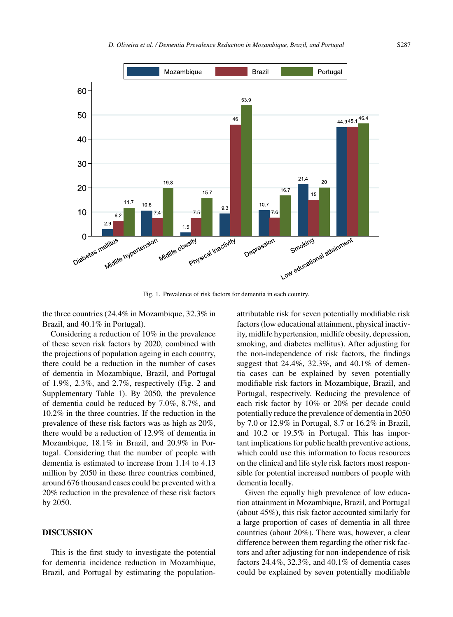

Fig. 1. Prevalence of risk factors for dementia in each country.

the three countries (24.4% in Mozambique, 32.3% in Brazil, and 40.1% in Portugal).

Considering a reduction of 10% in the prevalence of these seven risk factors by 2020, combined with the projections of population ageing in each country, there could be a reduction in the number of cases of dementia in Mozambique, Brazil, and Portugal of 1.9%, 2.3%, and 2.7%, respectively (Fig. 2 and Supplementary Table 1). By 2050, the prevalence of dementia could be reduced by 7.0%, 8.7%, and 10.2% in the three countries. If the reduction in the prevalence of these risk factors was as high as 20%, there would be a reduction of 12.9% of dementia in Mozambique, 18.1% in Brazil, and 20.9% in Portugal. Considering that the number of people with dementia is estimated to increase from 1.14 to 4.13 million by 2050 in these three countries combined, around 676 thousand cases could be prevented with a 20% reduction in the prevalence of these risk factors by 2050.

## **DISCUSSION**

This is the first study to investigate the potential for dementia incidence reduction in Mozambique, Brazil, and Portugal by estimating the populationattributable risk for seven potentially modifiable risk factors (low educational attainment, physical inactivity, midlife hypertension, midlife obesity, depression, smoking, and diabetes mellitus). After adjusting for the non-independence of risk factors, the findings suggest that 24.4%, 32.3%, and 40.1% of dementia cases can be explained by seven potentially modifiable risk factors in Mozambique, Brazil, and Portugal, respectively. Reducing the prevalence of each risk factor by 10% or 20% per decade could potentially reduce the prevalence of dementia in 2050 by 7.0 or 12.9% in Portugal, 8.7 or 16.2% in Brazil, and 10.2 or 19.5% in Portugal. This has important implications for public health preventive actions, which could use this information to focus resources on the clinical and life style risk factors most responsible for potential increased numbers of people with dementia locally.

Given the equally high prevalence of low education attainment in Mozambique, Brazil, and Portugal (about 45%), this risk factor accounted similarly for a large proportion of cases of dementia in all three countries (about 20%). There was, however, a clear difference between them regarding the other risk factors and after adjusting for non-independence of risk factors 24.4%, 32.3%, and 40.1% of dementia cases could be explained by seven potentially modifiable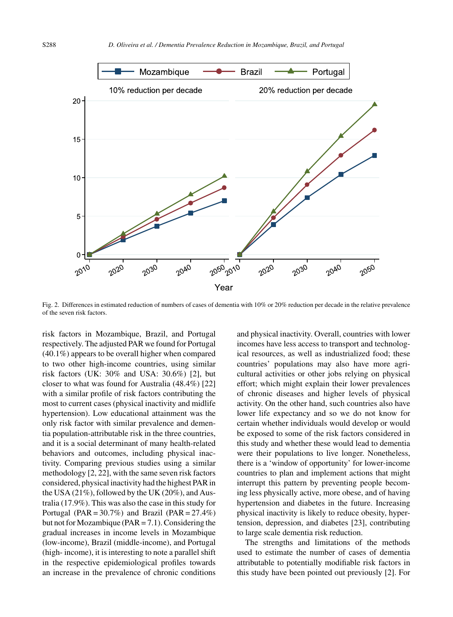

Fig. 2. Differences in estimated reduction of numbers of cases of dementia with 10% or 20% reduction per decade in the relative prevalence of the seven risk factors.

risk factors in Mozambique, Brazil, and Portugal respectively. The adjusted PAR we found for Portugal (40.1%) appears to be overall higher when compared to two other high-income countries, using similar risk factors (UK: 30% and USA: 30.6%) [2], but closer to what was found for Australia (48.4%) [22] with a similar profile of risk factors contributing the most to current cases (physical inactivity and midlife hypertension). Low educational attainment was the only risk factor with similar prevalence and dementia population-attributable risk in the three countries, and it is a social determinant of many health-related behaviors and outcomes, including physical inactivity. Comparing previous studies using a similar methodology [2, 22], with the same seven risk factors considered, physical inactivity had the highest PAR in the USA (21%), followed by the UK (20%), and Australia (17.9%). This was also the case in this study for Portugal (PAR =  $30.7\%$ ) and Brazil (PAR =  $27.4\%$ ) but not for Mozambique ( $PAR = 7.1$ ). Considering the gradual increases in income levels in Mozambique (low-income), Brazil (middle-income), and Portugal (high- income), it is interesting to note a parallel shift in the respective epidemiological profiles towards an increase in the prevalence of chronic conditions

and physical inactivity. Overall, countries with lower incomes have less access to transport and technological resources, as well as industrialized food; these countries' populations may also have more agricultural activities or other jobs relying on physical effort; which might explain their lower prevalences of chronic diseases and higher levels of physical activity. On the other hand, such countries also have lower life expectancy and so we do not know for certain whether individuals would develop or would be exposed to some of the risk factors considered in this study and whether these would lead to dementia were their populations to live longer. Nonetheless, there is a 'window of opportunity' for lower-income countries to plan and implement actions that might interrupt this pattern by preventing people becoming less physically active, more obese, and of having hypertension and diabetes in the future. Increasing physical inactivity is likely to reduce obesity, hypertension, depression, and diabetes [23], contributing to large scale dementia risk reduction.

The strengths and limitations of the methods used to estimate the number of cases of dementia attributable to potentially modifiable risk factors in this study have been pointed out previously [2]. For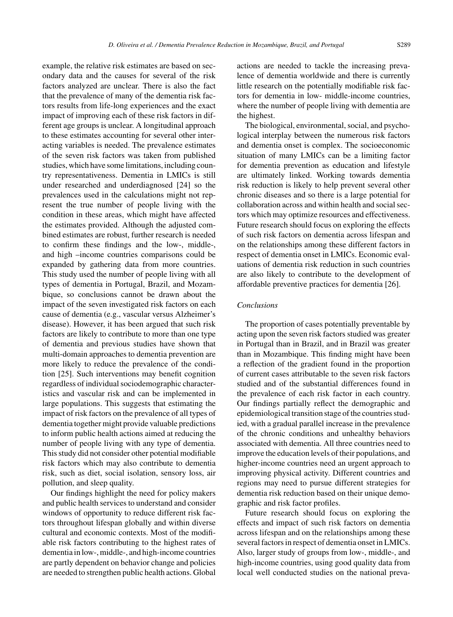example, the relative risk estimates are based on secondary data and the causes for several of the risk factors analyzed are unclear. There is also the fact that the prevalence of many of the dementia risk factors results from life-long experiences and the exact impact of improving each of these risk factors in different age groups is unclear. A longitudinal approach to these estimates accounting for several other interacting variables is needed. The prevalence estimates of the seven risk factors was taken from published studies, which have some limitations, including country representativeness. Dementia in LMICs is still under researched and underdiagnosed [24] so the prevalences used in the calculations might not represent the true number of people living with the condition in these areas, which might have affected the estimates provided. Although the adjusted combined estimates are robust, further research is needed to confirm these findings and the low-, middle-, and high –income countries comparisons could be expanded by gathering data from more countries. This study used the number of people living with all types of dementia in Portugal, Brazil, and Mozambique, so conclusions cannot be drawn about the impact of the seven investigated risk factors on each cause of dementia (e.g., vascular versus Alzheimer's disease). However, it has been argued that such risk factors are likely to contribute to more than one type of dementia and previous studies have shown that multi-domain approaches to dementia prevention are more likely to reduce the prevalence of the condition [25]. Such interventions may benefit cognition regardless of individual sociodemographic characteristics and vascular risk and can be implemented in large populations. This suggests that estimating the impact of risk factors on the prevalence of all types of dementia together might provide valuable predictions to inform public health actions aimed at reducing the number of people living with any type of dementia. This study did not consider other potential modifiable risk factors which may also contribute to dementia risk, such as diet, social isolation, sensory loss, air pollution, and sleep quality.

Our findings highlight the need for policy makers and public health services to understand and consider windows of opportunity to reduce different risk factors throughout lifespan globally and within diverse cultural and economic contexts. Most of the modifiable risk factors contributing to the highest rates of dementia in low-, middle-, and high-income countries are partly dependent on behavior change and policies are needed to strengthen public health actions. Global

actions are needed to tackle the increasing prevalence of dementia worldwide and there is currently little research on the potentially modifiable risk factors for dementia in low- middle-income countries, where the number of people living with dementia are the highest.

The biological, environmental, social, and psychological interplay between the numerous risk factors and dementia onset is complex. The socioeconomic situation of many LMICs can be a limiting factor for dementia prevention as education and lifestyle are ultimately linked. Working towards dementia risk reduction is likely to help prevent several other chronic diseases and so there is a large potential for collaboration across and within health and social sectors which may optimize resources and effectiveness. Future research should focus on exploring the effects of such risk factors on dementia across lifespan and on the relationships among these different factors in respect of dementia onset in LMICs. Economic evaluations of dementia risk reduction in such countries are also likely to contribute to the development of affordable preventive practices for dementia [26].

## *Conclusions*

The proportion of cases potentially preventable by acting upon the seven risk factors studied was greater in Portugal than in Brazil, and in Brazil was greater than in Mozambique. This finding might have been a reflection of the gradient found in the proportion of current cases attributable to the seven risk factors studied and of the substantial differences found in the prevalence of each risk factor in each country. Our findings partially reflect the demographic and epidemiological transition stage of the countries studied, with a gradual parallel increase in the prevalence of the chronic conditions and unhealthy behaviors associated with dementia. All three countries need to improve the education levels of their populations, and higher-income countries need an urgent approach to improving physical activity. Different countries and regions may need to pursue different strategies for dementia risk reduction based on their unique demographic and risk factor profiles.

Future research should focus on exploring the effects and impact of such risk factors on dementia across lifespan and on the relationships among these several factors in respect of dementia onset in LMICs. Also, larger study of groups from low-, middle-, and high-income countries, using good quality data from local well conducted studies on the national preva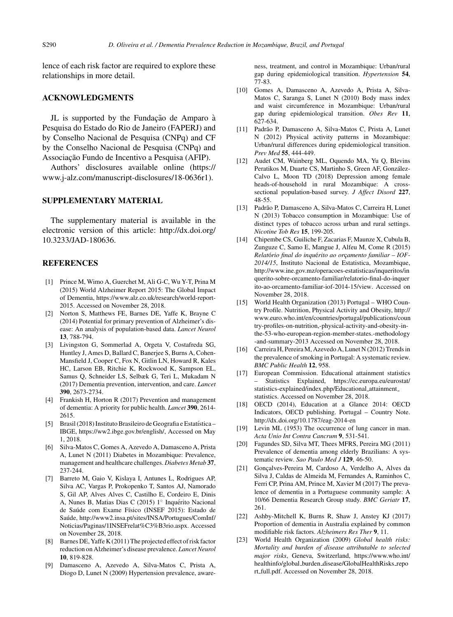lence of each risk factor are required to explore these relationships in more detail.

## **ACKNOWLEDGMENTS**

JL is supported by the Fundação de Amparo à Pesquisa do Estado do Rio de Janeiro (FAPERJ) and by Conselho Nacional de Pesquisa (CNPq) and CF by the Conselho Nacional de Pesquisa (CNPq) and Associação Fundo de Incentivo a Pesquisa (AFIP).

Authors' disclosures available online ([https://](https://www.j-alz.com/manuscript-disclosures/18-0636r1) [www.j-alz.com/manuscript-disclosures/18-0636r1\)](https://www.j-alz.com/manuscript-disclosures/18-0636r1).

#### **SUPPLEMENTARY MATERIAL**

The supplementary material is available in the electronic version of this article: [http://dx.doi.org/](http://dx.doi.org/10.3233/JAD-180636) [10.3233/JAD-180636.](http://dx.doi.org/10.3233/JAD-180636)

#### **REFERENCES**

- [1] Prince M, Wimo A, Guerchet M, Ali G-C, Wu Y-T, Prina M (2015) World Alzheimer Report 2015: The Global Impact of Dementia, [https://www.alz.co.uk/research/world-report-](https://www.alz.co.uk/research/world-report-2015)2015. Accessed on November 28, 2018.
- [2] Norton S, Matthews FE, Barnes DE, Yaffe K, Brayne C (2014) Potential for primary prevention of Alzheimer's disease: An analysis of population-based data. *Lancet Neurol* **13**, 788-794.
- [3] Livingston G, Sommerlad A, Orgeta V, Costafreda SG, Huntley J, Ames D, Ballard C, Banerjee S, Burns A, Cohen-Mansfield J, Cooper C, Fox N, Gitlin LN, Howard R, Kales HC, Larson EB, Ritchie K, Rockwood K, Sampson EL, Samus Q, Schneider LS, Selbæk G, Teri L, Mukadam N (2017) Dementia prevention, intervention, and care. *Lancet* **390**, 2673-2734.
- [4] Frankish H, Horton R (2017) Prevention and management of dementia: A priority for public health. *Lancet* **390**, 2614- 2615.
- [5] Brasil (2018) Instituto Brasileiro de Geografia e Estatística IBGE, [https://ww2.ibge.gov.br/english/,](https://ww2.ibge.gov.br/english/) Accessed on May 1, 2018.
- [6] Silva-Matos C, Gomes A, Azevedo A, Damasceno A, Prista A, Lunet N (2011) Diabetes in Mozambique: Prevalence, management and healthcare challenges. *Diabetes Metab* **37**, 237-244.
- [7] Barreto M, Gaio V, Kislaya I, Antunes L, Rodrigues AP, Silva AC, Vargas P, Prokopenko T, Santos AJ, Namorado S, Gil AP, Alves Alves C, Castilho E, Cordeiro E, Dinis A, Nunes B, Matias Dias C (2015) 1° Inquérito Nacional de Saúde com Exame Físico (INSEF 2015): Estado de Saúde, [http://www2.insa.pt/sites/INSA/Portugues/ComInf/](http://www2.insa.pt/sites/INSA/Portugues/ComInf/Noticias/Paginas/1INSEFrelat%C3%B3rio.aspx) [Noticias/Paginas/1INSEFrelat%C3%B3rio.aspx](http://www2.insa.pt/sites/INSA/Portugues/ComInf/Noticias/Paginas/1INSEFrelat%C3%B3rio.aspx). Accessed on November 28, 2018.
- [8] Barnes DE, Yaffe K (2011) The projected effect of risk factor reduction on Alzheimer's disease prevalence. *Lancet Neurol* **10**, 819-828.
- [9] Damasceno A, Azevedo A, Silva-Matos C, Prista A, Diogo D, Lunet N (2009) Hypertension prevalence, aware-

ness, treatment, and control in Mozambique: Urban/rural gap during epidemiological transition. *Hypertension* **54**, 77-83.

- [10] Gomes A, Damasceno A, Azevedo A, Prista A, Silva-Matos C, Saranga S, Lunet N (2010) Body mass index and waist circumference in Mozambique: Urban/rural gap during epidemiological transition. *Obes Rev* **11**, 627-634.
- [11] Padrão P, Damasceno A, Silva-Matos C, Prista A, Lunet N (2012) Physical activity patterns in Mozambique: Urban/rural differences during epidemiological transition. *Prev Med* **55**, 444-449.
- [12] Audet CM, Wainberg ML, Oquendo MA, Yu Q, Blevins Peratikos M, Duarte CS, Martinho S, Green AF, González-Calvo L, Moon TD (2018) Depression among female heads-of-household in rural Mozambique: A crosssectional population-based survey. *J Affect Disord* **227**, 48-55.
- [13] Padrão P, Damasceno A, Silva-Matos C, Carreira H, Lunet N (2013) Tobacco consumption in Mozambique: Use of distinct types of tobacco across urban and rural settings. *Nicotine Tob Res* **15**, 199-205.
- [14] Chipembe CS, Guiliche F, Zacarias F, Maunze X, Cubula B, Zunguze C, Samo E, Mangue J, Alfeu M, Come R (2015)  $Relatório final do inquérito ao orçamento familiar – IOF-$ *2014/15*, Instituto Nacional de Estatistica, Mozambique, [http://www.ine.gov.mz/operacoes-estatisticas/inqueritos/in](http://www.ine.gov.mz/operacoes-estatisticas/inqueritos/inquerito-sobre-orcamento-familiar/relatorio-final-do-inquerito-ao-orcamento-familiar-iof-2014-15/view) [querito-sobre-orcamento-familiar/relatorio-final-do-inquer](http://www.ine.gov.mz/operacoes-estatisticas/inqueritos/inquerito-sobre-orcamento-familiar/relatorio-final-do-inquerito-ao-orcamento-familiar-iof-2014-15/view) [ito-ao-orcamento-familiar-iof-2014-15/view.](http://www.ine.gov.mz/operacoes-estatisticas/inqueritos/inquerito-sobre-orcamento-familiar/relatorio-final-do-inquerito-ao-orcamento-familiar-iof-2014-15/view) Accessed on November 28, 2018.
- [15] World Health Organization (2013) Portugal WHO Country Profile. Nutrition, Physical Activity and Obesity, [http://](http://www.euro.who.int/en/countries/portugal/publications/country-profiles-on-nutrition,-physical-activity-and-obesity-in-the-53-who-european-region-member-states.-methodology-and-summary-2013) [www.euro.who.int/en/countries/portugal/publications/coun](http://www.euro.who.int/en/countries/portugal/publications/country-profiles-on-nutrition,-physical-activity-and-obesity-in-the-53-who-european-region-member-states.-methodology-and-summary-2013) [try-profiles-on-nutrition,-physical-activity-and-obesity-in](http://www.euro.who.int/en/countries/portugal/publications/country-profiles-on-nutrition,-physical-activity-and-obesity-in-the-53-who-european-region-member-states.-methodology-and-summary-2013)the-53-who-european-region-member-states.-methodology -and-summary-2013 Accessed on November 28, 2018.
- [16] Carreira H, Pereira M, Azevedo A, Lunet N (2012) Trends in the prevalence of smoking in Portugal: A systematic review. *BMC Public Health* **12**, 958.
- [17] European Commission. Educational attainment statistics – Statistics Explained, [https://ec.europa.eu/eurostat/](https://ec.europa.eu/eurostat/statistics-explained/index.php/Educational_attainment_statistics) [statistics-explained/index.php/Educational](https://ec.europa.eu/eurostat/statistics-explained/index.php/Educational_attainment_statistics) attainment [statistics](https://ec.europa.eu/eurostat/statistics-explained/index.php/Educational_attainment_statistics). Accessed on November 28, 2018.
- [18] OECD (2014), Education at a Glance 2014: OECD Indicators, OECD publishing. Portugal – Country Note. <http://dx.doi.org/10.1787/eag-2014-en>
- [19] Levin ML (1953) The occurrence of lung cancer in man. *Acta Unio Int Contra Cancrum* **9**, 531-541.
- [20] Fagundes SD, Silva MT, Thees MFRS, Pereira MG (2011) Prevalence of dementia among elderly Brazilians: A systematic review. *Sao Paulo Med J* **129**, 46-50.
- [21] Gonçalves-Pereira M, Cardoso A, Verdelho A, Alves da Silva J, Caldas de Almeida M, Fernandes A, Raminhos C, Ferri CP, Prina AM, Prince M, Xavier M (2017) The prevalence of dementia in a Portuguese community sample: A 10/66 Dementia Research Group study. *BMC Geriatr* **17**, 261.
- [22] Ashby-Mitchell K, Burns R, Shaw J, Anstey KJ (2017) Proportion of dementia in Australia explained by common modifiable risk factors. *Alzheimers Res Ther* **9**, 11.
- [23] World Health Organization (2009) *Global health risks: Mortality and burden of disease attributable to selected major risks*, Geneva, Switzerland, [https://www.who.int/](https://www.who.int/healthinfo/global_burden_disease/GlobalHealthRisks_report_full.pdf) healthinfo/global burden [disease/GlobalHealthRisks](https://www.who.int/healthinfo/global_burden_disease/GlobalHealthRisks_report_full.pdf) repo rt [full.pdf](https://www.who.int/healthinfo/global_burden_disease/GlobalHealthRisks_report_full.pdf). Accessed on November 28, 2018.